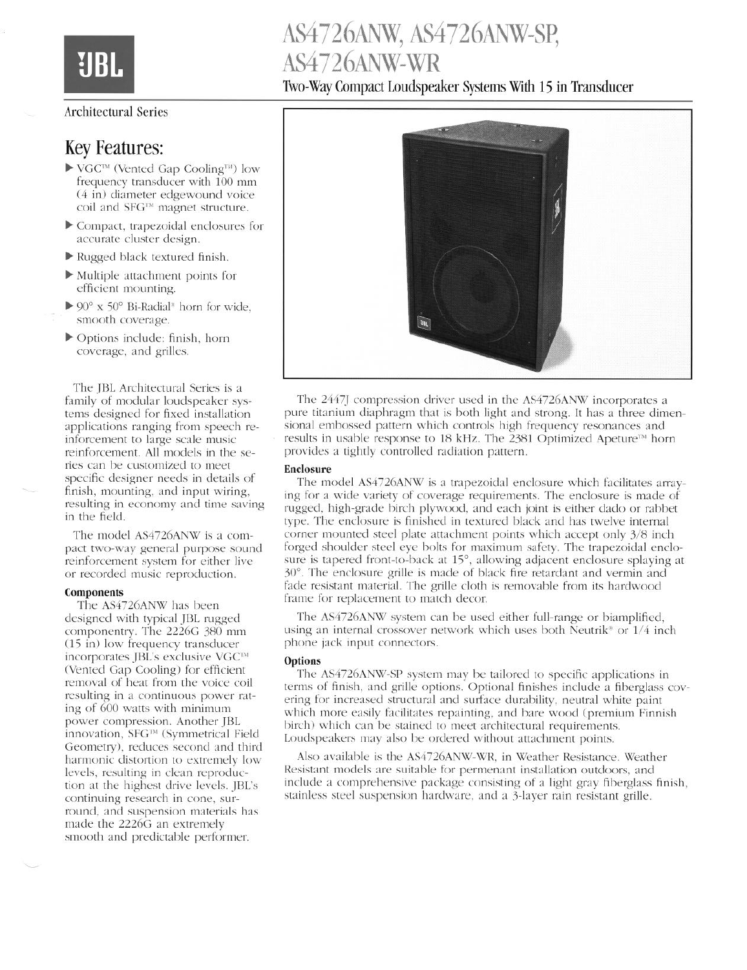# AS4726ANW, AS4726ANW-SP, AS4726ANW-WR

Two-Way Compact Loudspeaker Systems With 15 in Transducer

### Architectural Series

### Key Features:

- $\blacktriangleright$  VGC<sup>™</sup> (Vented Gap Cooling<sup>™)</sup> low frequency transducer with 100 mm (4 in) diameter edgewound voice coil and SFG™ magnet structure.
- $\triangleright$  Compact, trapezoidal enclosures for accurate cluster design.
- $\blacktriangleright$  Rugged black textured finish.
- $\blacktriangleright$  Multiple attachment points for efficient mounting.
- $\triangleright$  90° x 50° Bi-Radial<sup>\*</sup> horn for wide, smooth coverage.
- b Options include: finish, horn coverage, and grilles.

The JBL Architectural Series is a family of modular loudspeaker systems designed for fixed installation applications ranging from speech reinforcement to large scale music reinforcement. All models in the series can be customized to meet specific designer needs in details of finish, mounting, and input wiring, resulting in economy and time saving in the field.

The model AS4726ANW is a compact two-way general purpose sound reinforcement system for either live or recorded music reproduction.

#### Components

The AS4726ANW has been designed with typical JBL rugged componentry. The 2226G 380 mm (15 in) low frequency transducer incorporates JBL's exclusive VGC™ (Vented Gap Cooling) for efficient removal of heat from the voice coil resulting in a continuous power rating of 600 watts with minimum power compression. Another JBL innovation, SFG""' (Symmetrical Field Geometry), reduces second and third harmonic distortion to extremely low levels, resulting in clean reproduction at the highest drive levels. JBL's continuing research in cone, surround, and suspension materials has made the **22266** an extremely smooth and predictable performer.



The 2447J compression driver used in the AS4726ANW incorporates a pure titanium diaphragm that is both light and strong. It has a three dimensional embossed pattern which controls high frequency resonances and results in usable response to 18 kHz. The 2381 Optimized Apeture<sup>™</sup> horn provides a tightly controlled radiation pattern.

#### **Enclosure**

The model AS4726ANW is a trapezoidal enclosure which facilitates arraying for a wide variety of coverage requirements. The enclosure is made of rugged, high-grade birch plywood, and each joint is either dado or rabbet type. The enclosure is finished in textured black and has twelve internal corner mounted steel plate attachment points which accept only 3/S inch forged shoulder steel eye bolts for maximum safety. The trapezoidal enclosure is tapered front-to-back at 15°, allowing adjacent enclosure splaying at 30". The enclosure grille is made of black fire retardant and vermin and fade resistant material. The grille cloth is removable from its hardwood frame for replacement to match decor.

The AS4726ANW system can be used either full-range or hiamplified, using an internal crossover network which uses both Neutrik<sup>®</sup> or  $1/4$  inch phone jack input connectors.

#### **Options**

The AS4726ANW-SP system may be tailored to specific applications in terms of finish, and grille options. Optional finishes include a fiberglass covering for increased structural and surface durability, neutral white paint which more easily facilitates repainting, and bare wood (premium Finnish birch) which can be stained to meet architectural requirements. Loudspeakers may also be ordered without attachment points.

Also available is the AS4726ANW-WR, in Weather Resistance. Weather Resistant models are suitable for permenant installation outdoors, and include a comprehensive package consisting of a light gray fiberglass finish, stainless steel suspension hardware, and a 3-layer rain resistant grille.